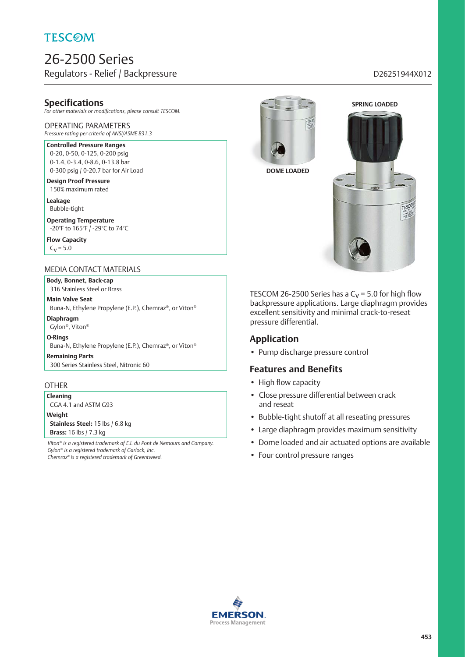# **TESCOM**

# 26-2500 Series Regulators - Relief / Backpressure discussed by a state of the D26251944X012

## **Specifications**

*For other materials or modifications, please consult TESCOM.*

## OPERATING PARAMETERS

*Pressure rating per criteria of ANSI/ASME B31.3*

### **Controlled Pressure Ranges**

0-20, 0-50, 0-125, 0-200 psig 0-1.4, 0-3.4, 0-8.6, 0-13.8 bar 0-300 psig / 0-20.7 bar for Air Load

**Design Proof Pressure** 150% maximum rated

**Leakage** Bubble-tight

**Operating Temperature** -20°F to 165°F / -29°C to 74°C

**Flow Capacity**  $C_V = 5.0$ 

### MEDIA CONTACT MATERIALS

**Body, Bonnet, Back-cap** 316 Stainless Steel or Brass

**Main Valve Seat** Buna-N, Ethylene Propylene (E.P.), Chemraz®, or Viton®

**Diaphragm**

Gylon®, Viton®

**O-Rings**

Buna-N, Ethylene Propylene (E.P.), Chemraz®, or Viton®

**Remaining Parts** 300 Series Stainless Steel, Nitronic 60

#### **OTHER**

**Cleaning** CGA 4.1 and ASTM G93

**Weight Stainless Steel:** 15 lbs / 6.8 kg **Brass:** 16 lbs / 7.3 kg

*Viton® is a registered trademark of E.I. du Pont de Nemours and Company. Gylon® is a registered trademark of Garlock, Inc. Chemraz® is a registered trademark of Greentweed.*



**SPRING LOADED**



TESCOM 26-2500 Series has a  $C_V$  = 5.0 for high flow backpressure applications. Large diaphragm provides excellent sensitivity and minimal crack-to-reseat pressure differential.

## **Application**

• Pump discharge pressure control

## **Features and Benefits**

- High flow capacity
- Close pressure differential between crack and reseat
- Bubble-tight shutoff at all reseating pressures
- Large diaphragm provides maximum sensitivity
- Dome loaded and air actuated options are available
- Four control pressure ranges

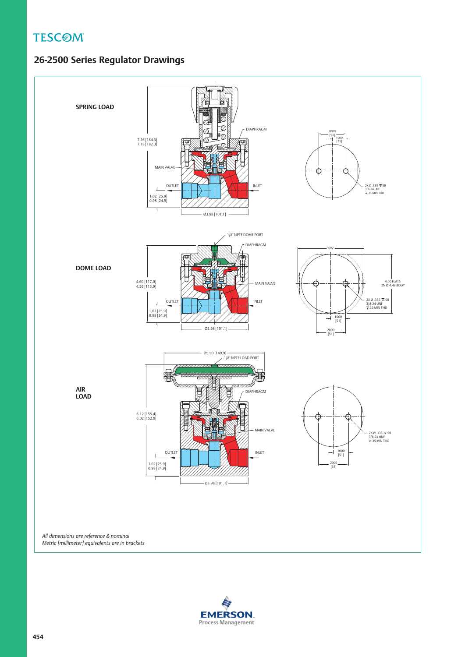**TESCOM** 

# **26-2500 Series Regulator Drawings**



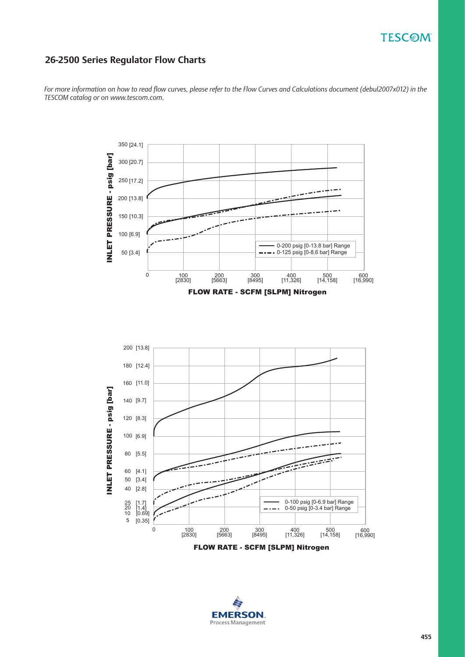# **TESCOM**

## **26-2500 Series Regulator Flow Charts**

*For more information on how to read flow curves, please refer to the Flow Curves and Calculations document (debul2007x012) in the TESCOM catalog or on www.tescom.com.*